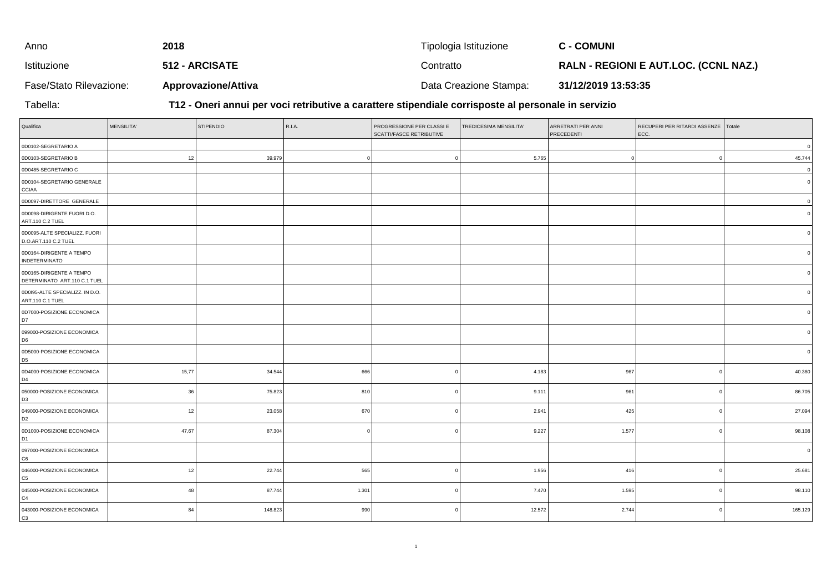| Anno                    | 2018                       | Tipologia Istituzione  | <b>C - COMUNI</b>                            |
|-------------------------|----------------------------|------------------------|----------------------------------------------|
| Istituzione             | 512 - ARCISATE             | Contratto              | <b>RALN - REGIONI E AUT.LOC. (CCNL NAZ.)</b> |
| Fase/Stato Rilevazione: | <b>Approvazione/Attiva</b> | Data Creazione Stampa: | 31/12/2019 13:53:35                          |

Tabella:

**T12 - Oneri annui per voci retributive a carattere stipendiale corrisposte al personale in servizio**

| Qualifica                                                | MENSILITA' | <b>STIPENDIO</b> | R.I.A. | PROGRESSIONE PER CLASSI E<br>SCATTI/FASCE RETRIBUTIVE | TREDICESIMA MENSILITA' | ARRETRATI PER ANNI<br>PRECEDENTI | RECUPERI PER RITARDI ASSENZE   Totale<br>ECC. |              |
|----------------------------------------------------------|------------|------------------|--------|-------------------------------------------------------|------------------------|----------------------------------|-----------------------------------------------|--------------|
| 0D0102-SEGRETARIO A                                      |            |                  |        |                                                       |                        |                                  |                                               | $\mathsf 0$  |
| 0D0103-SEGRETARIO B                                      | 12         | 39.979           |        |                                                       | 5.765                  |                                  | $\overline{0}$                                | 45.744       |
| 0D0485-SEGRETARIO C                                      |            |                  |        |                                                       |                        |                                  |                                               | $\mathsf 0$  |
| 0D0104-SEGRETARIO GENERALE<br><b>CCIAA</b>               |            |                  |        |                                                       |                        |                                  |                                               | $\Omega$     |
| 0D0097-DIRETTORE GENERALE                                |            |                  |        |                                                       |                        |                                  |                                               | $\Omega$     |
| 0D0098-DIRIGENTE FUORI D.O.<br>ART.110 C.2 TUEL          |            |                  |        |                                                       |                        |                                  |                                               | $\mathbf{0}$ |
| 0D0095-ALTE SPECIALIZZ. FUORI<br>D.O.ART.110 C.2 TUEL    |            |                  |        |                                                       |                        |                                  |                                               | $\Omega$     |
| 0D0164-DIRIGENTE A TEMPO<br><b>INDETERMINATO</b>         |            |                  |        |                                                       |                        |                                  |                                               |              |
| 0D0165-DIRIGENTE A TEMPO<br>DETERMINATO ART.110 C.1 TUEL |            |                  |        |                                                       |                        |                                  |                                               |              |
| 0D0I95-ALTE SPECIALIZZ. IN D.O.<br>ART.110 C.1 TUEL      |            |                  |        |                                                       |                        |                                  |                                               |              |
| 0D7000-POSIZIONE ECONOMICA<br>D7                         |            |                  |        |                                                       |                        |                                  |                                               |              |
| 099000-POSIZIONE ECONOMICA<br>D <sub>6</sub>             |            |                  |        |                                                       |                        |                                  |                                               |              |
| 0D5000-POSIZIONE ECONOMICA<br>D <sub>5</sub>             |            |                  |        |                                                       |                        |                                  |                                               | $\mathbf{0}$ |
| 0D4000-POSIZIONE ECONOMICA<br>D4                         | 15,77      | 34.544           | 666    |                                                       | 4.183                  | 967                              | $\Omega$                                      | 40.360       |
| 050000-POSIZIONE ECONOMICA<br>D <sub>3</sub>             | 36         | 75.823           | 810    |                                                       | 9.111                  | 961                              | $\overline{0}$                                | 86.705       |
| 049000-POSIZIONE ECONOMICA<br>D <sub>2</sub>             | 12         | 23.058           | 670    |                                                       | 2.941                  | 425                              | $\Omega$                                      | 27.094       |
| 0D1000-POSIZIONE ECONOMICA<br>D <sub>1</sub>             | 47,67      | 87.304           |        |                                                       | 9.227                  | 1.577                            | $\Omega$                                      | 98.108       |
| 097000-POSIZIONE ECONOMICA<br>C <sub>6</sub>             |            |                  |        |                                                       |                        |                                  |                                               | $\mathbf 0$  |
| 046000-POSIZIONE ECONOMICA<br>C <sub>5</sub>             | 12         | 22.744           | 565    |                                                       | 1.956                  | 416                              |                                               | 25.681       |
| 045000-POSIZIONE ECONOMICA<br>C4                         | 48         | 87.744           | 1.301  |                                                       | 7.470                  | 1.595                            | $\Omega$                                      | 98.110       |
| 043000-POSIZIONE ECONOMICA<br>lсз                        | 84         | 148.823          | 990    |                                                       | 12.572                 | 2.744                            | $\Omega$                                      | 165.129      |